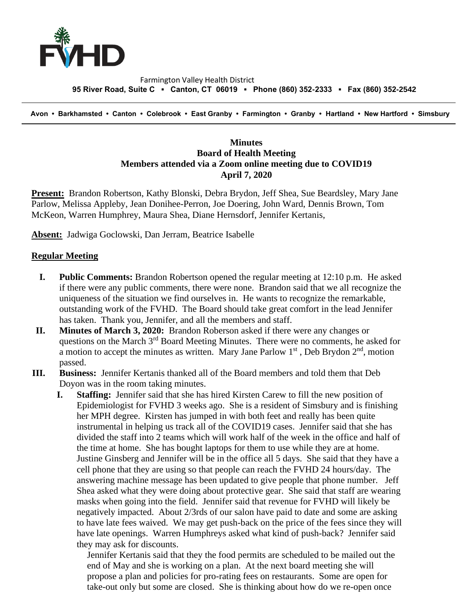

## Farmington Valley Health District  **95 River Road, Suite C ▪ Canton, CT 06019 ▪ Phone (860) 352-2333 ▪ Fax (860) 352-2542**

 **Avon • Barkhamsted • Canton • Colebrook • East Granby • Farmington • Granby • Hartland • New Hartford • Simsbury**

## **Minutes Board of Health Meeting Members attended via a Zoom online meeting due to COVID19 April 7, 2020**

**Present:** Brandon Robertson, Kathy Blonski, Debra Brydon, Jeff Shea, Sue Beardsley, Mary Jane Parlow, Melissa Appleby, Jean Donihee-Perron, Joe Doering, John Ward, Dennis Brown, Tom McKeon, Warren Humphrey, Maura Shea, Diane Hernsdorf, Jennifer Kertanis,

**Absent:** Jadwiga Goclowski, Dan Jerram, Beatrice Isabelle

## **Regular Meeting**

- **I. Public Comments:** Brandon Robertson opened the regular meeting at 12:10 p.m. He asked if there were any public comments, there were none. Brandon said that we all recognize the uniqueness of the situation we find ourselves in. He wants to recognize the remarkable, outstanding work of the FVHD. The Board should take great comfort in the lead Jennifer has taken. Thank you, Jennifer, and all the members and staff.
- **II. Minutes of March 3, 2020:** Brandon Roberson asked if there were any changes or questions on the March  $3<sup>rd</sup>$  Board Meeting Minutes. There were no comments, he asked for a motion to accept the minutes as written. Mary Jane Parlow  $1<sup>st</sup>$ , Deb Brydon  $2<sup>nd</sup>$ , motion passed.
- **III. Business:** Jennifer Kertanis thanked all of the Board members and told them that Deb Doyon was in the room taking minutes.
	- **I. Staffing:** Jennifer said that she has hired Kirsten Carew to fill the new position of Epidemiologist for FVHD 3 weeks ago. She is a resident of Simsbury and is finishing her MPH degree. Kirsten has jumped in with both feet and really has been quite instrumental in helping us track all of the COVID19 cases. Jennifer said that she has divided the staff into 2 teams which will work half of the week in the office and half of the time at home. She has bought laptops for them to use while they are at home. Justine Ginsberg and Jennifer will be in the office all 5 days. She said that they have a cell phone that they are using so that people can reach the FVHD 24 hours/day. The answering machine message has been updated to give people that phone number. Jeff Shea asked what they were doing about protective gear. She said that staff are wearing masks when going into the field. Jennifer said that revenue for FVHD will likely be negatively impacted. About 2/3rds of our salon have paid to date and some are asking to have late fees waived. We may get push-back on the price of the fees since they will have late openings. Warren Humphreys asked what kind of push-back? Jennifer said they may ask for discounts.

Jennifer Kertanis said that they the food permits are scheduled to be mailed out the end of May and she is working on a plan. At the next board meeting she will propose a plan and policies for pro-rating fees on restaurants. Some are open for take-out only but some are closed. She is thinking about how do we re-open once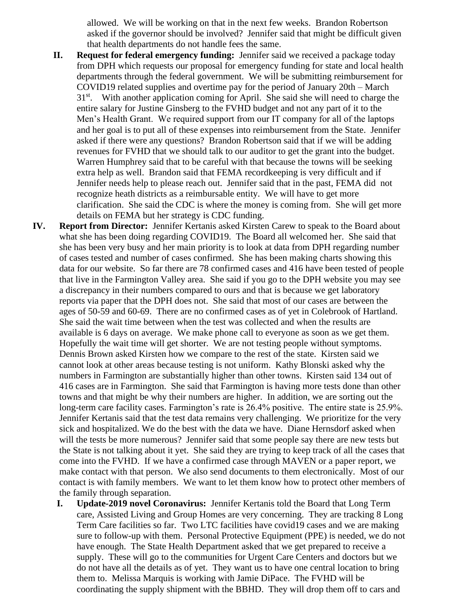allowed. We will be working on that in the next few weeks. Brandon Robertson asked if the governor should be involved? Jennifer said that might be difficult given that health departments do not handle fees the same.

- **II. Request for federal emergency funding:** Jennifer said we received a package today from DPH which requests our proposal for emergency funding for state and local health departments through the federal government. We will be submitting reimbursement for COVID19 related supplies and overtime pay for the period of January 20th – March 31<sup>st</sup>. With another application coming for April. She said she will need to charge the entire salary for Justine Ginsberg to the FVHD budget and not any part of it to the Men's Health Grant. We required support from our IT company for all of the laptops and her goal is to put all of these expenses into reimbursement from the State. Jennifer asked if there were any questions? Brandon Robertson said that if we will be adding revenues for FVHD that we should talk to our auditor to get the grant into the budget. Warren Humphrey said that to be careful with that because the towns will be seeking extra help as well. Brandon said that FEMA recordkeeping is very difficult and if Jennifer needs help to please reach out. Jennifer said that in the past, FEMA did not recognize heath districts as a reimbursable entity. We will have to get more clarification. She said the CDC is where the money is coming from. She will get more details on FEMA but her strategy is CDC funding.
- **IV. Report from Director:** Jennifer Kertanis asked Kirsten Carew to speak to the Board about what she has been doing regarding COVID19. The Board all welcomed her. She said that she has been very busy and her main priority is to look at data from DPH regarding number of cases tested and number of cases confirmed. She has been making charts showing this data for our website. So far there are 78 confirmed cases and 416 have been tested of people that live in the Farmington Valley area. She said if you go to the DPH website you may see a discrepancy in their numbers compared to ours and that is because we get laboratory reports via paper that the DPH does not. She said that most of our cases are between the ages of 50-59 and 60-69. There are no confirmed cases as of yet in Colebrook of Hartland. She said the wait time between when the test was collected and when the results are available is 6 days on average. We make phone call to everyone as soon as we get them. Hopefully the wait time will get shorter. We are not testing people without symptoms. Dennis Brown asked Kirsten how we compare to the rest of the state. Kirsten said we cannot look at other areas because testing is not uniform. Kathy Blonski asked why the numbers in Farmington are substantially higher than other towns. Kirsten said 134 out of 416 cases are in Farmington. She said that Farmington is having more tests done than other towns and that might be why their numbers are higher. In addition, we are sorting out the long-term care facility cases. Farmington's rate is 26.4% positive. The entire state is 25.9%. Jennifer Kertanis said that the test data remains very challenging. We prioritize for the very sick and hospitalized. We do the best with the data we have. Diane Hernsdorf asked when will the tests be more numerous? Jennifer said that some people say there are new tests but the State is not talking about it yet. She said they are trying to keep track of all the cases that come into the FVHD. If we have a confirmed case through MAVEN or a paper report, we make contact with that person. We also send documents to them electronically. Most of our contact is with family members. We want to let them know how to protect other members of the family through separation.
	- **I. Update-2019 novel Coronavirus:** Jennifer Kertanis told the Board that Long Term care, Assisted Living and Group Homes are very concerning. They are tracking 8 Long Term Care facilities so far. Two LTC facilities have covid19 cases and we are making sure to follow-up with them. Personal Protective Equipment (PPE) is needed, we do not have enough. The State Health Department asked that we get prepared to receive a supply. These will go to the communities for Urgent Care Centers and doctors but we do not have all the details as of yet. They want us to have one central location to bring them to. Melissa Marquis is working with Jamie DiPace. The FVHD will be coordinating the supply shipment with the BBHD. They will drop them off to cars and